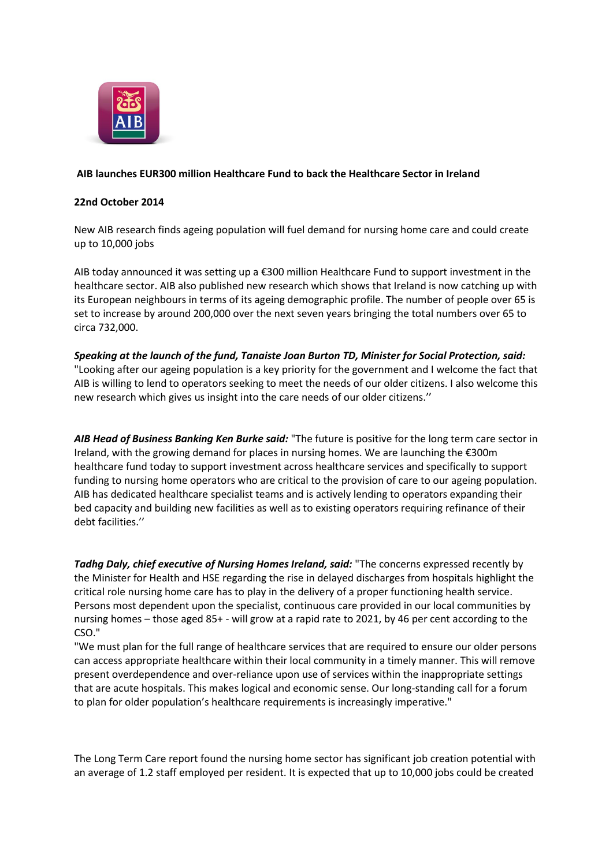

# **AIB launches EUR300 million Healthcare Fund to back the Healthcare Sector in Ireland**

## **22nd October 2014**

New AIB research finds ageing population will fuel demand for nursing home care and could create up to 10,000 jobs

AIB today announced it was setting up a €300 million Healthcare Fund to support investment in the healthcare sector. AIB also published new research which shows that Ireland is now catching up with its European neighbours in terms of its ageing demographic profile. The number of people over 65 is set to increase by around 200,000 over the next seven years bringing the total numbers over 65 to circa 732,000.

*Speaking at the launch of the fund, Tanaiste Joan Burton TD, Minister for Social Protection, said:* "Looking after our ageing population is a key priority for the government and I welcome the fact that AIB is willing to lend to operators seeking to meet the needs of our older citizens. I also welcome this new research which gives us insight into the care needs of our older citizens.''

*AIB Head of Business Banking Ken Burke said:* "The future is positive for the long term care sector in Ireland, with the growing demand for places in nursing homes. We are launching the €300m healthcare fund today to support investment across healthcare services and specifically to support funding to nursing home operators who are critical to the provision of care to our ageing population. AIB has dedicated healthcare specialist teams and is actively lending to operators expanding their bed capacity and building new facilities as well as to existing operators requiring refinance of their debt facilities.''

*Tadhg Daly, chief executive of Nursing Homes Ireland, said:* "The concerns expressed recently by the Minister for Health and HSE regarding the rise in delayed discharges from hospitals highlight the critical role nursing home care has to play in the delivery of a proper functioning health service. Persons most dependent upon the specialist, continuous care provided in our local communities by nursing homes – those aged 85+ - will grow at a rapid rate to 2021, by 46 per cent according to the CSO."

"We must plan for the full range of healthcare services that are required to ensure our older persons can access appropriate healthcare within their local community in a timely manner. This will remove present overdependence and over-reliance upon use of services within the inappropriate settings that are acute hospitals. This makes logical and economic sense. Our long-standing call for a forum to plan for older population's healthcare requirements is increasingly imperative."

The Long Term Care report found the nursing home sector has significant job creation potential with an average of 1.2 staff employed per resident. It is expected that up to 10,000 jobs could be created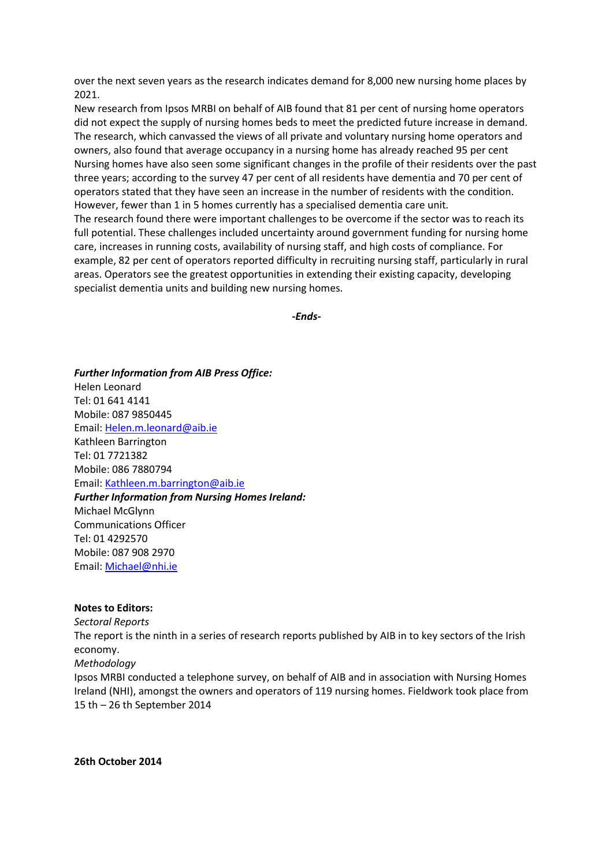over the next seven years as the research indicates demand for 8,000 new nursing home places by 2021.

New research from Ipsos MRBI on behalf of AIB found that 81 per cent of nursing home operators did not expect the supply of nursing homes beds to meet the predicted future increase in demand. The research, which canvassed the views of all private and voluntary nursing home operators and owners, also found that average occupancy in a nursing home has already reached 95 per cent Nursing homes have also seen some significant changes in the profile of their residents over the past three years; according to the survey 47 per cent of all residents have dementia and 70 per cent of operators stated that they have seen an increase in the number of residents with the condition. However, fewer than 1 in 5 homes currently has a specialised dementia care unit. The research found there were important challenges to be overcome if the sector was to reach its full potential. These challenges included uncertainty around government funding for nursing home care, increases in running costs, availability of nursing staff, and high costs of compliance. For example, 82 per cent of operators reported difficulty in recruiting nursing staff, particularly in rural areas. Operators see the greatest opportunities in extending their existing capacity, developing specialist dementia units and building new nursing homes.

*-Ends-*

*Further Information from AIB Press Office:* Helen Leonard Tel: 01 641 4141 Mobile: 087 9850445 Email: [Helen.m.leonard@aib.ie](mailto:Helen.m.leonard@aib.ie) Kathleen Barrington Tel: 01 7721382 Mobile: 086 7880794 Email: [Kathleen.m.barrington@aib.ie](mailto:Kathleen.m.barrington@aib.ie) *Further Information from Nursing Homes Ireland:* Michael McGlynn Communications Officer Tel: 01 4292570 Mobile: 087 908 2970 Email: [Michael@nhi.ie](mailto:Michael@nhi.ie)

## **Notes to Editors:**

*Sectoral Reports*

The report is the ninth in a series of research reports published by AIB in to key sectors of the Irish economy.

*Methodology*

Ipsos MRBI conducted a telephone survey, on behalf of AIB and in association with Nursing Homes Ireland (NHI), amongst the owners and operators of 119 nursing homes. Fieldwork took place from 15 th – 26 th September 2014

**26th October 2014**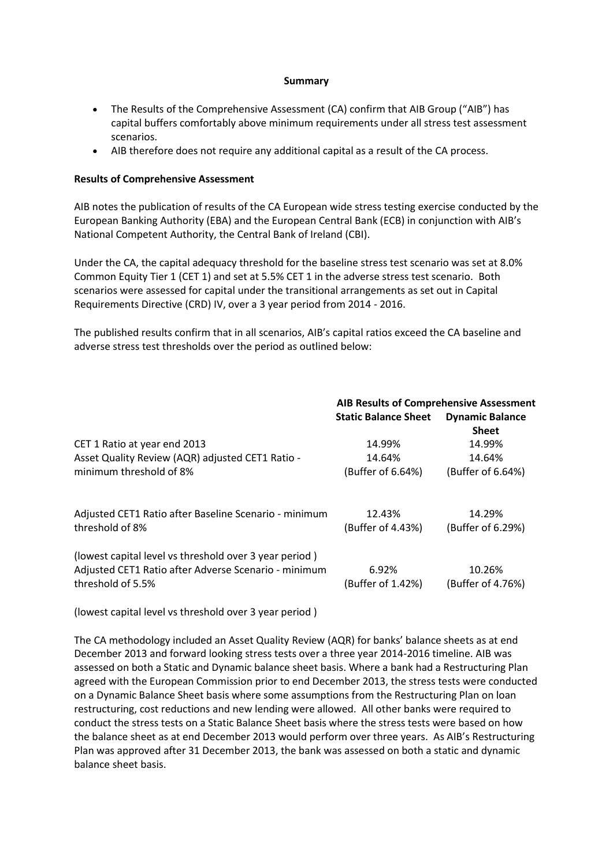## **Summary**

- The Results of the Comprehensive Assessment (CA) confirm that AIB Group ("AIB") has capital buffers comfortably above minimum requirements under all stress test assessment scenarios.
- AIB therefore does not require any additional capital as a result of the CA process.

## **Results of Comprehensive Assessment**

AIB notes the publication of results of the CA European wide stress testing exercise conducted by the European Banking Authority (EBA) and the European Central Bank (ECB) in conjunction with AIB's National Competent Authority, the Central Bank of Ireland (CBI).

Under the CA, the capital adequacy threshold for the baseline stress test scenario was set at 8.0% Common Equity Tier 1 (CET 1) and set at 5.5% CET 1 in the adverse stress test scenario. Both scenarios were assessed for capital under the transitional arrangements as set out in Capital Requirements Directive (CRD) IV, over a 3 year period from 2014 - 2016.

The published results confirm that in all scenarios, AIB's capital ratios exceed the CA baseline and adverse stress test thresholds over the period as outlined below:

|                                                                                                                                     | <b>AIB Results of Comprehensive Assessment</b> |                                        |
|-------------------------------------------------------------------------------------------------------------------------------------|------------------------------------------------|----------------------------------------|
|                                                                                                                                     | <b>Static Balance Sheet</b>                    | <b>Dynamic Balance</b><br><b>Sheet</b> |
| CET 1 Ratio at year end 2013                                                                                                        | 14.99%                                         | 14.99%                                 |
| Asset Quality Review (AQR) adjusted CET1 Ratio -                                                                                    | 14.64%                                         | 14.64%                                 |
| minimum threshold of 8%                                                                                                             | (Buffer of 6.64%)                              | (Buffer of 6.64%)                      |
| Adjusted CET1 Ratio after Baseline Scenario - minimum<br>threshold of 8%                                                            | 12.43%<br>(Buffer of 4.43%)                    | 14.29%<br>(Buffer of 6.29%)            |
| (lowest capital level vs threshold over 3 year period)<br>Adjusted CET1 Ratio after Adverse Scenario - minimum<br>threshold of 5.5% | 6.92%<br>(Buffer of 1.42%)                     | 10.26%<br>(Buffer of 4.76%)            |

(lowest capital level vs threshold over 3 year period )

The CA methodology included an Asset Quality Review (AQR) for banks' balance sheets as at end December 2013 and forward looking stress tests over a three year 2014-2016 timeline. AIB was assessed on both a Static and Dynamic balance sheet basis. Where a bank had a Restructuring Plan agreed with the European Commission prior to end December 2013, the stress tests were conducted on a Dynamic Balance Sheet basis where some assumptions from the Restructuring Plan on loan restructuring, cost reductions and new lending were allowed. All other banks were required to conduct the stress tests on a Static Balance Sheet basis where the stress tests were based on how the balance sheet as at end December 2013 would perform over three years. As AIB's Restructuring Plan was approved after 31 December 2013, the bank was assessed on both a static and dynamic balance sheet basis.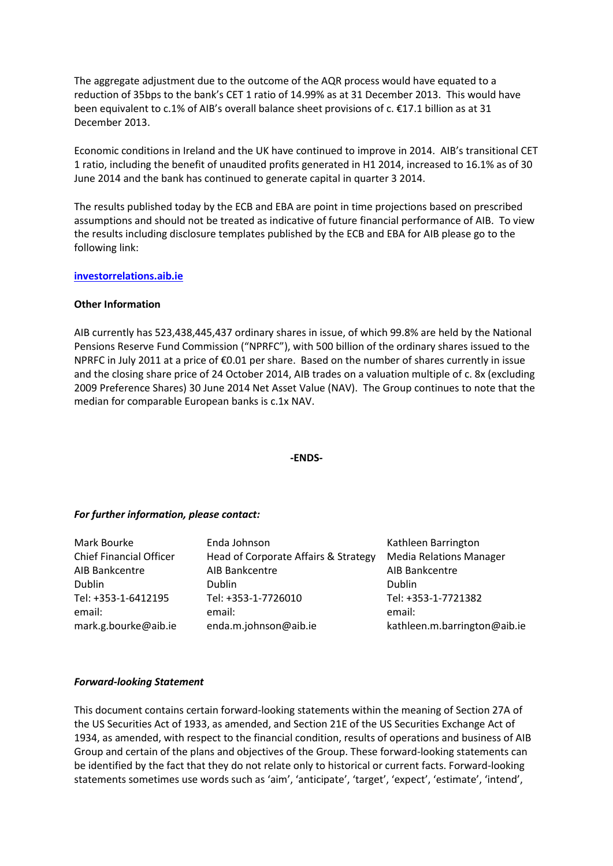The aggregate adjustment due to the outcome of the AQR process would have equated to a reduction of 35bps to the bank's CET 1 ratio of 14.99% as at 31 December 2013. This would have been equivalent to c.1% of AIB's overall balance sheet provisions of c. €17.1 billion as at 31 December 2013.

Economic conditions in Ireland and the UK have continued to improve in 2014. AIB's transitional CET 1 ratio, including the benefit of unaudited profits generated in H1 2014, increased to 16.1% as of 30 June 2014 and the bank has continued to generate capital in quarter 3 2014.

The results published today by the ECB and EBA are point in time projections based on prescribed assumptions and should not be treated as indicative of future financial performance of AIB. To view the results including disclosure templates published by the ECB and EBA for AIB please go to the following link:

## **[investorrelations.aib.ie](about:investorrelations.aib.ie)**

## **Other Information**

AIB currently has 523,438,445,437 ordinary shares in issue, of which 99.8% are held by the National Pensions Reserve Fund Commission ("NPRFC"), with 500 billion of the ordinary shares issued to the NPRFC in July 2011 at a price of €0.01 per share. Based on the number of shares currently in issue and the closing share price of 24 October 2014, AIB trades on a valuation multiple of c. 8x (excluding 2009 Preference Shares) 30 June 2014 Net Asset Value (NAV). The Group continues to note that the median for comparable European banks is c.1x NAV.

## **-ENDS-**

## *For further information, please contact:*

| Mark Bourke                                           | Enda Johnson                                           | Kathleen Barrington                                           |
|-------------------------------------------------------|--------------------------------------------------------|---------------------------------------------------------------|
| <b>Chief Financial Officer</b>                        | Head of Corporate Affairs & Strategy                   | <b>Media Relations Manager</b>                                |
| AIB Bankcentre                                        | AIB Bankcentre                                         | AIB Bankcentre                                                |
| Dublin                                                | <b>Dublin</b>                                          | <b>Dublin</b>                                                 |
| Tel: +353-1-6412195<br>email:<br>mark.g.bourke@aib.ie | Tel: +353-1-7726010<br>email:<br>enda.m.johnson@aib.ie | Tel: +353-1-7721382<br>email:<br>kathleen.m.barrington@aib.ie |

## *Forward-looking Statement*

This document contains certain forward-looking statements within the meaning of Section 27A of the US Securities Act of 1933, as amended, and Section 21E of the US Securities Exchange Act of 1934, as amended, with respect to the financial condition, results of operations and business of AIB Group and certain of the plans and objectives of the Group. These forward-looking statements can be identified by the fact that they do not relate only to historical or current facts. Forward-looking statements sometimes use words such as 'aim', 'anticipate', 'target', 'expect', 'estimate', 'intend',